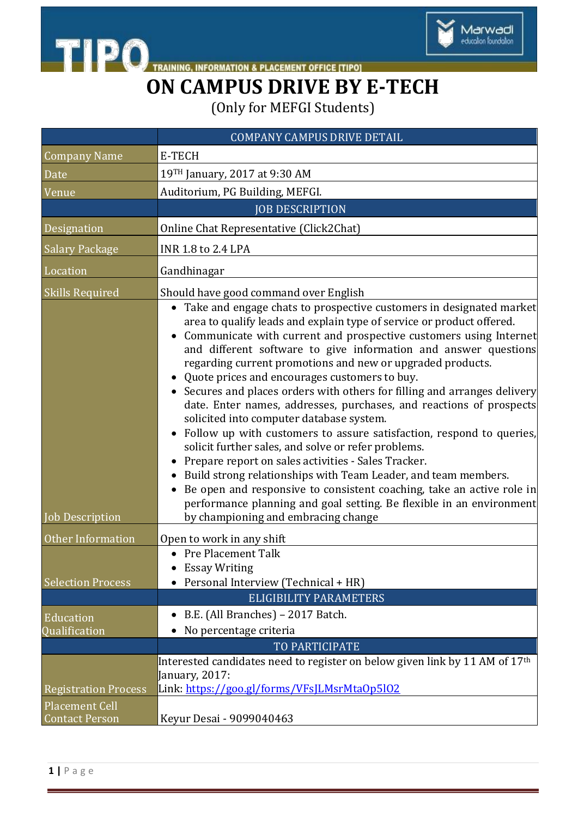

**TIPO**TRAINING **INFORMATION & PLACEMENT OFFICE [TIPO]** 

## **ON CAMPUS DRIVE BY E-TECH**

(Only for MEFGI Students)

|                                                      | <b>COMPANY CAMPUS DRIVE DETAIL</b>                                                                                                                                                                                                                                                                                                                                                                                                                                                                                                                                                                                                                                                                                                                                                                                                                                                                                                                                                                                                                                                             |
|------------------------------------------------------|------------------------------------------------------------------------------------------------------------------------------------------------------------------------------------------------------------------------------------------------------------------------------------------------------------------------------------------------------------------------------------------------------------------------------------------------------------------------------------------------------------------------------------------------------------------------------------------------------------------------------------------------------------------------------------------------------------------------------------------------------------------------------------------------------------------------------------------------------------------------------------------------------------------------------------------------------------------------------------------------------------------------------------------------------------------------------------------------|
| <b>Company Name</b>                                  | E-TECH                                                                                                                                                                                                                                                                                                                                                                                                                                                                                                                                                                                                                                                                                                                                                                                                                                                                                                                                                                                                                                                                                         |
| Date                                                 | 19TH January, 2017 at 9:30 AM                                                                                                                                                                                                                                                                                                                                                                                                                                                                                                                                                                                                                                                                                                                                                                                                                                                                                                                                                                                                                                                                  |
| $\overline{\text{V}}$ enue                           | Auditorium, PG Building, MEFGI.                                                                                                                                                                                                                                                                                                                                                                                                                                                                                                                                                                                                                                                                                                                                                                                                                                                                                                                                                                                                                                                                |
|                                                      | <b>JOB DESCRIPTION</b>                                                                                                                                                                                                                                                                                                                                                                                                                                                                                                                                                                                                                                                                                                                                                                                                                                                                                                                                                                                                                                                                         |
| Designation                                          | Online Chat Representative (Click2Chat)                                                                                                                                                                                                                                                                                                                                                                                                                                                                                                                                                                                                                                                                                                                                                                                                                                                                                                                                                                                                                                                        |
| <b>Salary Package</b>                                | <b>INR 1.8 to 2.4 LPA</b>                                                                                                                                                                                                                                                                                                                                                                                                                                                                                                                                                                                                                                                                                                                                                                                                                                                                                                                                                                                                                                                                      |
| Location                                             | Gandhinagar                                                                                                                                                                                                                                                                                                                                                                                                                                                                                                                                                                                                                                                                                                                                                                                                                                                                                                                                                                                                                                                                                    |
| <b>Skills Required</b><br><b>Job Description</b>     | Should have good command over English<br>• Take and engage chats to prospective customers in designated market<br>area to qualify leads and explain type of service or product offered.<br>Communicate with current and prospective customers using Internet<br>and different software to give information and answer questions<br>regarding current promotions and new or upgraded products.<br>• Quote prices and encourages customers to buy.<br>Secures and places orders with others for filling and arranges delivery<br>date. Enter names, addresses, purchases, and reactions of prospects<br>solicited into computer database system.<br>Follow up with customers to assure satisfaction, respond to queries,<br>solicit further sales, and solve or refer problems.<br>Prepare report on sales activities - Sales Tracker.<br>Build strong relationships with Team Leader, and team members.<br>Be open and responsive to consistent coaching, take an active role in<br>performance planning and goal setting. Be flexible in an environment<br>by championing and embracing change |
| Other Information                                    | Open to work in any shift                                                                                                                                                                                                                                                                                                                                                                                                                                                                                                                                                                                                                                                                                                                                                                                                                                                                                                                                                                                                                                                                      |
| <b>Selection Process</b>                             | • Pre Placement Talk<br><b>Essay Writing</b><br>Personal Interview (Technical + HR)<br><b>ELIGIBILITY PARAMETERS</b>                                                                                                                                                                                                                                                                                                                                                                                                                                                                                                                                                                                                                                                                                                                                                                                                                                                                                                                                                                           |
| Education<br>Qualification                           | B.E. (All Branches) - 2017 Batch.<br>No percentage criteria                                                                                                                                                                                                                                                                                                                                                                                                                                                                                                                                                                                                                                                                                                                                                                                                                                                                                                                                                                                                                                    |
| <b>Registration Process</b><br><b>Placement Cell</b> | <b>TO PARTICIPATE</b><br>Interested candidates need to register on below given link by 11 AM of 17th<br>January, 2017:<br>Link: https://goo.gl/forms/VFsJLMsrMtaOp5102                                                                                                                                                                                                                                                                                                                                                                                                                                                                                                                                                                                                                                                                                                                                                                                                                                                                                                                         |
| <b>Contact Person</b>                                | Keyur Desai - 9099040463                                                                                                                                                                                                                                                                                                                                                                                                                                                                                                                                                                                                                                                                                                                                                                                                                                                                                                                                                                                                                                                                       |